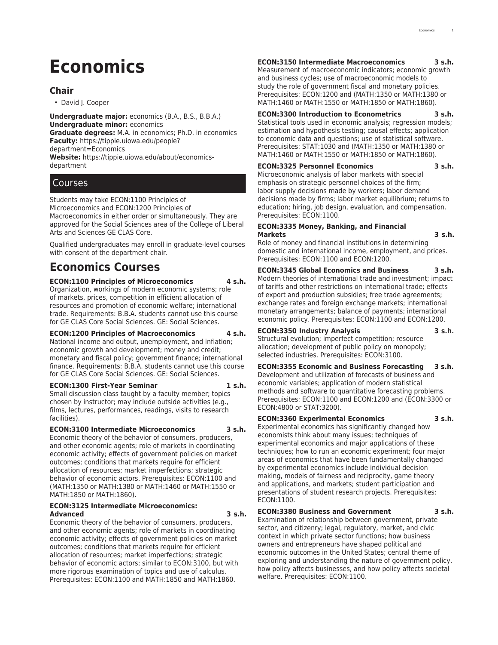# **Economics**

## **Chair**

• David J. Cooper

**Undergraduate major:** economics (B.A., B.S., B.B.A.) **Undergraduate minor:** economics **Graduate degrees:** M.A. in economics; Ph.D. in economics **Faculty:** [https://tippie.uiowa.edu/people?](https://tippie.uiowa.edu/people/?department=Economics) [department=Economics](https://tippie.uiowa.edu/people/?department=Economics)

**Website:** [https://tippie.uiowa.edu/about/economics](https://tippie.uiowa.edu/about/economics-department/)[department](https://tippie.uiowa.edu/about/economics-department/)

## Courses

Students may take ECON:1100 Principles of Microeconomics and ECON:1200 Principles of Macroeconomics in either order or simultaneously. They are approved for the Social Sciences area of the College of Liberal Arts and Sciences [GE CLAS Core.](http://catalog.registrar.uiowa.edu/liberal-arts-sciences/general-education-program/)

Qualified undergraduates may enroll in graduate-level courses with consent of the department chair.

## **Economics Courses**

**ECON:1100 Principles of Microeconomics 4 s.h.**

Organization, workings of modern economic systems; role of markets, prices, competition in efficient allocation of resources and promotion of economic welfare; international trade. Requirements: B.B.A. students cannot use this course for GE CLAS Core Social Sciences. GE: Social Sciences.

## **ECON:1200 Principles of Macroeconomics 4 s.h.**

National income and output, unemployment, and inflation; economic growth and development; money and credit; monetary and fiscal policy; government finance; international finance. Requirements: B.B.A. students cannot use this course for GE CLAS Core Social Sciences. GE: Social Sciences.

#### **ECON:1300 First-Year Seminar 1 s.h.**

Small discussion class taught by a faculty member; topics chosen by instructor; may include outside activities (e.g., films, lectures, performances, readings, visits to research facilities).

## **ECON:3100 Intermediate Microeconomics 3 s.h.**

Economic theory of the behavior of consumers, producers, and other economic agents; role of markets in coordinating economic activity; effects of government policies on market outcomes; conditions that markets require for efficient allocation of resources; market imperfections; strategic behavior of economic actors. Prerequisites: ECON:1100 and (MATH:1350 or MATH:1380 or MATH:1460 or MATH:1550 or MATH:1850 or MATH:1860).

## **ECON:3125 Intermediate Microeconomics: Advanced 3 s.h.**

Economic theory of the behavior of consumers, producers, and other economic agents; role of markets in coordinating economic activity; effects of government policies on market outcomes; conditions that markets require for efficient allocation of resources; market imperfections; strategic behavior of economic actors; similar to ECON:3100, but with more rigorous examination of topics and use of calculus. Prerequisites: ECON:1100 and MATH:1850 and MATH:1860.

## **ECON:3150 Intermediate Macroeconomics 3 s.h.**

Measurement of macroeconomic indicators; economic growth and business cycles; use of macroeconomic models to study the role of government fiscal and monetary policies. Prerequisites: ECON:1200 and (MATH:1350 or MATH:1380 or MATH:1460 or MATH:1550 or MATH:1850 or MATH:1860).

## **ECON:3300 Introduction to Econometrics 3 s.h.**

Statistical tools used in economic analysis; regression models; estimation and hypothesis testing; causal effects; application to economic data and questions; use of statistical software. Prerequisites: STAT:1030 and (MATH:1350 or MATH:1380 or MATH:1460 or MATH:1550 or MATH:1850 or MATH:1860).

## **ECON:3325 Personnel Economics 3 s.h.**

Microeconomic analysis of labor markets with special emphasis on strategic personnel choices of the firm; labor supply decisions made by workers; labor demand decisions made by firms; labor market equilibrium; returns to education; hiring, job design, evaluation, and compensation. Prerequisites: ECON:1100.

## **ECON:3335 Money, Banking, and Financial Markets 3 s.h.**

Role of money and financial institutions in determining domestic and international income, employment, and prices. Prerequisites: ECON:1100 and ECON:1200.

**ECON:3345 Global Economics and Business 3 s.h.** Modern theories of international trade and investment; impact of tariffs and other restrictions on international trade; effects of export and production subsidies; free trade agreements; exchange rates and foreign exchange markets; international

monetary arrangements; balance of payments; international economic policy. Prerequisites: ECON:1100 and ECON:1200.

## **ECON:3350 Industry Analysis 3 s.h.**

Structural evolution; imperfect competition; resource allocation; development of public policy on monopoly; selected industries. Prerequisites: ECON:3100.

**ECON:3355 Economic and Business Forecasting 3 s.h.** Development and utilization of forecasts of business and economic variables; application of modern statistical methods and software to quantitative forecasting problems. Prerequisites: ECON:1100 and ECON:1200 and (ECON:3300 or ECON:4800 or STAT:3200).

## **ECON:3360 Experimental Economics 3 s.h.**

Experimental economics has significantly changed how economists think about many issues; techniques of experimental economics and major applications of these techniques; how to run an economic experiment; four major areas of economics that have been fundamentally changed by experimental economics include individual decision making, models of fairness and reciprocity, game theory and applications, and markets; student participation and presentations of student research projects. Prerequisites: ECON:1100.

## **ECON:3380 Business and Government 3 s.h.**

Examination of relationship between government, private sector, and citizenry; legal, regulatory, market, and civic context in which private sector functions; how business owners and entrepreneurs have shaped political and economic outcomes in the United States; central theme of exploring and understanding the nature of government policy, how policy affects businesses, and how policy affects societal welfare. Prerequisites: ECON:1100.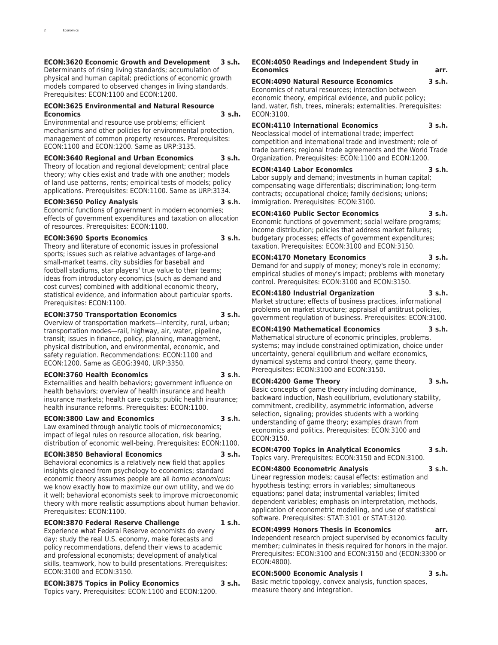## **ECON:3620 Economic Growth and Development 3 s.h.**

Determinants of rising living standards; accumulation of physical and human capital; predictions of economic growth models compared to observed changes in living standards. Prerequisites: ECON:1100 and ECON:1200.

## **ECON:3625 Environmental and Natural Resource Economics 3 s.h.**

Environmental and resource use problems; efficient mechanisms and other policies for environmental protection, management of common property resources. Prerequisites: ECON:1100 and ECON:1200. Same as URP:3135.

## **ECON:3640 Regional and Urban Economics 3 s.h.**

Theory of location and regional development; central place theory; why cities exist and trade with one another; models of land use patterns, rents; empirical tests of models; policy applications. Prerequisites: ECON:1100. Same as URP:3134.

## **ECON:3650 Policy Analysis 3 s.h.**

Economic functions of government in modern economies; effects of government expenditures and taxation on allocation of resources. Prerequisites: ECON:1100.

## **ECON:3690 Sports Economics 3 s.h.**

Theory and literature of economic issues in professional sports; issues such as relative advantages of large-and small-market teams, city subsidies for baseball and football stadiums, star players' true value to their teams; ideas from introductory economics (such as demand and cost curves) combined with additional economic theory, statistical evidence, and information about particular sports. Prerequisites: ECON:1100.

## **ECON:3750 Transportation Economics 3 s.h.**

Overview of transportation markets—intercity, rural, urban; transportation modes—rail, highway, air, water, pipeline, transit; issues in finance, policy, planning, management, physical distribution, and environmental, economic, and safety regulation. Recommendations: ECON:1100 and ECON:1200. Same as GEOG:3940, URP:3350.

## **ECON:3760 Health Economics 3 s.h.**

Externalities and health behaviors; government influence on health behaviors; overview of health insurance and health insurance markets; health care costs; public health insurance; health insurance reforms. Prerequisites: ECON:1100.

## **ECON:3800 Law and Economics 3 s.h.**

Law examined through analytic tools of microeconomics; impact of legal rules on resource allocation, risk bearing, distribution of economic well-being. Prerequisites: ECON:1100.

## **ECON:3850 Behavioral Economics 3 s.h.**

Behavioral economics is a relatively new field that applies insights gleaned from psychology to economics; standard economic theory assumes people are all *homo economicus*: we know exactly how to maximize our own utility, and we do it well; behavioral economists seek to improve microeconomic theory with more realistic assumptions about human behavior. Prerequisites: ECON:1100.

## **ECON:3870 Federal Reserve Challenge 1 s.h.**

Experience what Federal Reserve economists do every day: study the real U.S. economy, make forecasts and policy recommendations, defend their views to academic and professional economists; development of analytical skills, teamwork, how to build presentations. Prerequisites: ECON:3100 and ECON:3150.

## **ECON:3875 Topics in Policy Economics 3 s.h.** Topics vary. Prerequisites: ECON:1100 and ECON:1200.

#### **ECON:4050 Readings and Independent Study in Economics arr.**

**ECON:4090 Natural Resource Economics 3 s.h.**

Economics of natural resources; interaction between economic theory, empirical evidence, and public policy; land, water, fish, trees, minerals; externalities. Prerequisites: ECON:3100.

## **ECON:4110 International Economics 3 s.h.**

Neoclassical model of international trade; imperfect competition and international trade and investment; role of trade barriers; regional trade agreements and the World Trade Organization. Prerequisites: ECON:1100 and ECON:1200.

## **ECON:4140 Labor Economics 3 s.h.**

Labor supply and demand; investments in human capital; compensating wage differentials; discrimination; long-term contracts; occupational choice; family decisions; unions; immigration. Prerequisites: ECON:3100.

## **ECON:4160 Public Sector Economics 3 s.h.**

Economic functions of government; social welfare programs; income distribution; policies that address market failures; budgetary processes; effects of government expenditures; taxation. Prerequisites: ECON:3100 and ECON:3150.

## **ECON:4170 Monetary Economics 3 s.h.**

Demand for and supply of money; money's role in economy; empirical studies of money's impact; problems with monetary control. Prerequisites: ECON:3100 and ECON:3150.

## **ECON:4180 Industrial Organization 3 s.h.**

Market structure; effects of business practices, informational problems on market structure; appraisal of antitrust policies, government regulation of business. Prerequisites: ECON:3100.

## **ECON:4190 Mathematical Economics 3 s.h.**

Mathematical structure of economic principles, problems, systems; may include constrained optimization, choice under uncertainty, general equilibrium and welfare economics, dynamical systems and control theory, game theory. Prerequisites: ECON:3100 and ECON:3150.

## **ECON:4200 Game Theory 3 s.h.**

Basic concepts of game theory including dominance, backward induction, Nash equilibrium, evolutionary stability, commitment, credibility, asymmetric information, adverse selection, signaling; provides students with a working understanding of game theory; examples drawn from economics and politics. Prerequisites: ECON:3100 and ECON:3150.

## **ECON:4700 Topics in Analytical Economics 3 s.h.** Topics vary. Prerequisites: ECON:3150 and ECON:3100.

## **ECON:4800 Econometric Analysis 3 s.h.**

Linear regression models; causal effects; estimation and hypothesis testing; errors in variables; simultaneous equations; panel data; instrumental variables; limited dependent variables; emphasis on interpretation, methods, application of econometric modelling, and use of statistical software. Prerequisites: STAT:3101 or STAT:3120.

## **ECON:4999 Honors Thesis in Economics arr.**

Independent research project supervised by economics faculty member; culminates in thesis required for honors in the major. Prerequisites: ECON:3100 and ECON:3150 and (ECON:3300 or ECON:4800).

## **ECON:5000 Economic Analysis I 3 s.h.**

Basic metric topology, convex analysis, function spaces, measure theory and integration.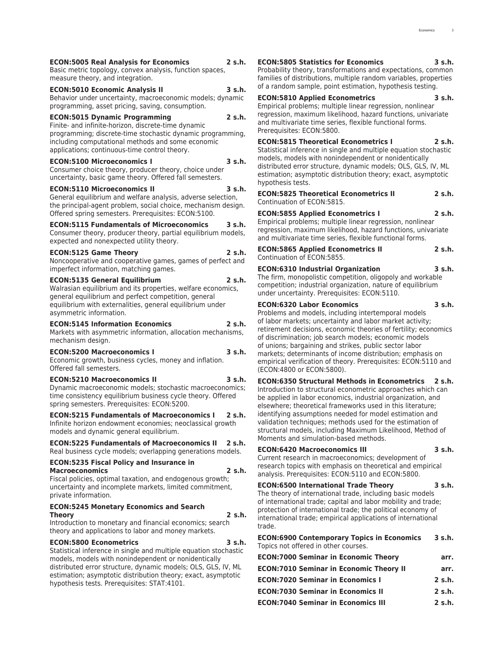## **ECON:5005 Real Analysis for Economics 2 s.h.**

Basic metric topology, convex analysis, function spaces, measure theory, and integration.

**ECON:5010 Economic Analysis II 3 s.h.** Behavior under uncertainty, macroeconomic models; dynamic programming, asset pricing, saving, consumption.

**ECON:5015 Dynamic Programming 2 s.h.** Finite- and infinite-horizon, discrete-time dynamic programming; discrete-time stochastic dynamic programming, including computational methods and some economic applications; continuous-time control theory.

#### **ECON:5100 Microeconomics I 3 s.h.**

Consumer choice theory, producer theory, choice under uncertainty, basic game theory. Offered fall semesters.

#### **ECON:5110 Microeconomics II 3 s.h.**

General equilibrium and welfare analysis, adverse selection, the principal-agent problem, social choice, mechanism design. Offered spring semesters. Prerequisites: ECON:5100.

## **ECON:5115 Fundamentals of Microeconomics 3 s.h.**

Consumer theory, producer theory, partial equilibrium models, expected and nonexpected utility theory.

## **ECON:5125 Game Theory 2 s.h.**

Noncooperative and cooperative games, games of perfect and imperfect information, matching games.

## **ECON:5135 General Equilibrium 2 s.h.**

Walrasian equilibrium and its properties, welfare economics, general equilibrium and perfect competition, general equilibrium with externalities, general equilibrium under asymmetric information.

## **ECON:5145 Information Economics 2 s.h.**

Markets with asymmetric information, allocation mechanisms, mechanism design.

## **ECON:5200 Macroeconomics I 3 s.h.**

Economic growth, business cycles, money and inflation. Offered fall semesters.

#### **ECON:5210 Macroeconomics II 3 s.h.**

Dynamic macroeconomic models; stochastic macroeconomics; time consistency equilibrium business cycle theory. Offered spring semesters. Prerequisites: ECON:5200.

## **ECON:5215 Fundamentals of Macroeconomics I 2 s.h.**

Infinite horizon endowment economies; neoclassical growth models and dynamic general equilibrium.

## **ECON:5225 Fundamentals of Macroeconomics II 2 s.h.** Real business cycle models; overlapping generations models.

## **ECON:5235 Fiscal Policy and Insurance in Macroeconomics 2 s.h.**

Fiscal policies, optimal taxation, and endogenous growth; uncertainty and incomplete markets, limited commitment, private information.

#### **ECON:5245 Monetary Economics and Search Theory 2 s.h.**

Introduction to monetary and financial economics; search theory and applications to labor and money markets.

## **ECON:5800 Econometrics 3 s.h.**

Statistical inference in single and multiple equation stochastic models, models with nonindependent or nonidentically distributed error structure, dynamic models; OLS, GLS, IV, ML estimation; asymptotic distribution theory; exact, asymptotic hypothesis tests. Prerequisites: STAT:4101.

**ECON:5805 Statistics for Economics 3 s.h.** Probability theory, transformations and expectations, common families of distributions, multiple random variables, properties of a random sample, point estimation, hypothesis testing.

## **ECON:5810 Applied Econometrics 3 s.h.**

Empirical problems; multiple linear regression, nonlinear regression, maximum likelihood, hazard functions, univariate and multivariate time series, flexible functional forms. Prerequisites: ECON:5800.

**ECON:5815 Theoretical Econometrics I 2 s.h.** Statistical inference in single and multiple equation stochastic models, models with nonindependent or nonidentically distributed error structure, dynamic models; OLS, GLS, IV, ML estimation; asymptotic distribution theory; exact, asymptotic hypothesis tests.

**ECON:5825 Theoretical Econometrics II 2 s.h.** Continuation of ECON:5815.

#### **ECON:5855 Applied Econometrics I 2 s.h.**

Empirical problems; multiple linear regression, nonlinear regression, maximum likelihood, hazard functions, univariate and multivariate time series, flexible functional forms.

| <b>ECON:5865 Applied Econometrics II</b> | 2 s.h. |
|------------------------------------------|--------|
| Continuation of ECON:5855.               |        |

## **ECON:6310 Industrial Organization 3 s.h.**

The firm, monopolistic competition, oligopoly and workable competition; industrial organization, nature of equilibrium under uncertainty. Prerequisites: ECON:5110.

## **ECON:6320 Labor Economics 3 s.h.**

Problems and models, including intertemporal models of labor markets; uncertainty and labor market activity; retirement decisions, economic theories of fertility; economics of discrimination; job search models; economic models of unions; bargaining and strikes, public sector labor markets; determinants of income distribution; emphasis on empirical verification of theory. Prerequisites: ECON:5110 and (ECON:4800 or ECON:5800).

## **ECON:6350 Structural Methods in Econometrics 2 s.h.**

Introduction to structural econometric approaches which can be applied in labor economics, industrial organization, and elsewhere; theoretical frameworks used in this literature; identifying assumptions needed for model estimation and validation techniques; methods used for the estimation of structural models, including Maximum Likelihood, Method of Moments and simulation-based methods.

## **ECON:6420 Macroeconomics III 3 s.h.**

Current research in macroeconomics; development of research topics with emphasis on theoretical and empirical analysis. Prerequisites: ECON:5110 and ECON:5800.

## **ECON:6500 International Trade Theory 3 s.h.**

The theory of international trade, including basic models of international trade; capital and labor mobility and trade; protection of international trade; the political economy of international trade; empirical applications of international trade.

**ECON:6900 Contemporary Topics in Economics 3 s.h.** Topics not offered in other courses.

| <b>ECON:7000 Seminar in Economic Theory</b>    | arr.        |
|------------------------------------------------|-------------|
| <b>ECON:7010 Seminar in Economic Theory II</b> | arr.        |
| <b>ECON:7020 Seminar in Economics I</b>        | 2 s.h.      |
| <b>ECON:7030 Seminar in Economics II</b>       | $2 \,$ s.h. |
| <b>ECON:7040 Seminar in Economics III</b>      | $2 \,$ s.h. |